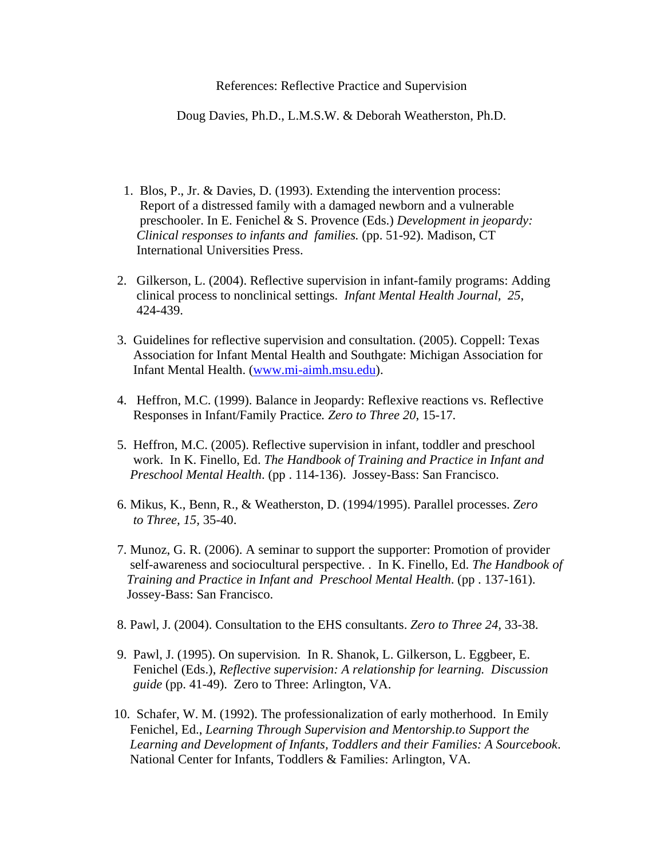References: Reflective Practice and Supervision

Doug Davies, Ph.D., L.M.S.W. & Deborah Weatherston, Ph.D.

- 1. Blos, P., Jr. & Davies, D. (1993). Extending the intervention process: Report of a distressed family with a damaged newborn and a vulnerable preschooler. In E. Fenichel & S. Provence (Eds.) *Development in jeopardy: Clinical responses to infants and families.* (pp. 51-92). Madison, CT International Universities Press.
- 2. Gilkerson, L. (2004). Reflective supervision in infant-family programs: Adding clinical process to nonclinical settings. *Infant Mental Health Journal, 25*, 424-439.
- 3. Guidelines for reflective supervision and consultation. (2005). Coppell: Texas Association for Infant Mental Health and Southgate: Michigan Association for Infant Mental Health. ([www.mi-aimh.msu.edu\)](http://www.mi-aimh.msu.edu/).
- 4. Heffron, M.C. (1999). Balance in Jeopardy: Reflexive reactions vs. Reflective Responses in Infant/Family Practice*. Zero to Three 20*, 15-17*.*
- 5. Heffron, M.C. (2005). Reflective supervision in infant, toddler and preschool work. In K. Finello, Ed. *The Handbook of Training and Practice in Infant and Preschool Mental Health*. (pp . 114-136). Jossey-Bass: San Francisco.
- 6. Mikus, K., Benn, R., & Weatherston, D. (1994/1995). Parallel processes. *Zero to Three, 15,* 35-40.
- 7. Munoz, G. R. (2006). A seminar to support the supporter: Promotion of provider self-awareness and sociocultural perspective. . In K. Finello, Ed. *The Handbook of Training and Practice in Infant and Preschool Mental Health*. (pp . 137-161). Jossey-Bass: San Francisco.
- 8. Pawl, J. (2004). Consultation to the EHS consultants. *Zero to Three 24,* 33-38.
- 9. Pawl, J. (1995). On supervision*.* In R. Shanok, L. Gilkerson, L. Eggbeer, E. Fenichel (Eds.), *Reflective supervision: A relationship for learning. Discussion guide* (pp. 41-49). Zero to Three: Arlington, VA.
- 10. Schafer, W. M. (1992). The professionalization of early motherhood. In Emily Fenichel, Ed., *Learning Through Supervision and Mentorship.to Support the Learning and Development of Infants, Toddlers and their Families: A Sourcebook*. National Center for Infants, Toddlers & Families: Arlington, VA.